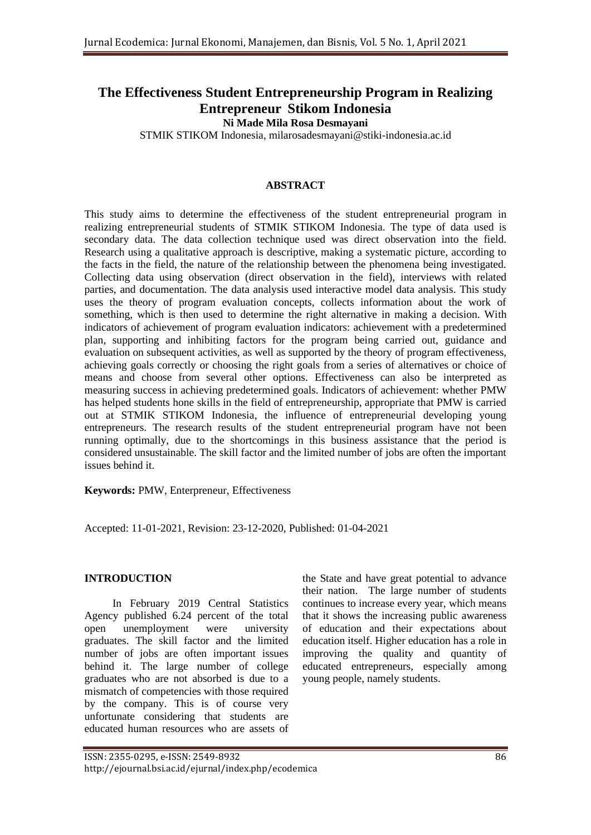# **The Effectiveness Student Entrepreneurship Program in Realizing Entrepreneur Stikom Indonesia**

**Ni Made Mila Rosa Desmayani**

STMIK STIKOM Indonesia, milarosadesmayani@stiki-indonesia.ac.id

#### **ABSTRACT**

This study aims to determine the effectiveness of the student entrepreneurial program in realizing entrepreneurial students of STMIK STIKOM Indonesia. The type of data used is secondary data. The data collection technique used was direct observation into the field. Research using a qualitative approach is descriptive, making a systematic picture, according to the facts in the field, the nature of the relationship between the phenomena being investigated. Collecting data using observation (direct observation in the field), interviews with related parties, and documentation. The data analysis used interactive model data analysis. This study uses the theory of program evaluation concepts, collects information about the work of something, which is then used to determine the right alternative in making a decision. With indicators of achievement of program evaluation indicators: achievement with a predetermined plan, supporting and inhibiting factors for the program being carried out, guidance and evaluation on subsequent activities, as well as supported by the theory of program effectiveness, achieving goals correctly or choosing the right goals from a series of alternatives or choice of means and choose from several other options. Effectiveness can also be interpreted as measuring success in achieving predetermined goals. Indicators of achievement: whether PMW has helped students hone skills in the field of entrepreneurship, appropriate that PMW is carried out at STMIK STIKOM Indonesia, the influence of entrepreneurial developing young entrepreneurs. The research results of the student entrepreneurial program have not been running optimally, due to the shortcomings in this business assistance that the period is considered unsustainable. The skill factor and the limited number of jobs are often the important issues behind it.

**Keywords:** PMW, Enterpreneur, Effectiveness

Accepted: 11-01-2021, Revision: 23-12-2020, Published: 01-04-2021

#### **INTRODUCTION**

In February 2019 Central Statistics Agency published 6.24 percent of the total open unemployment were university graduates. The skill factor and the limited number of jobs are often important issues behind it. The large number of college graduates who are not absorbed is due to a mismatch of competencies with those required by the company. This is of course very unfortunate considering that students are educated human resources who are assets of

the State and have great potential to advance their nation. The large number of students continues to increase every year, which means that it shows the increasing public awareness of education and their expectations about education itself. Higher education has a role in improving the quality and quantity of educated entrepreneurs, especially among young people, namely students.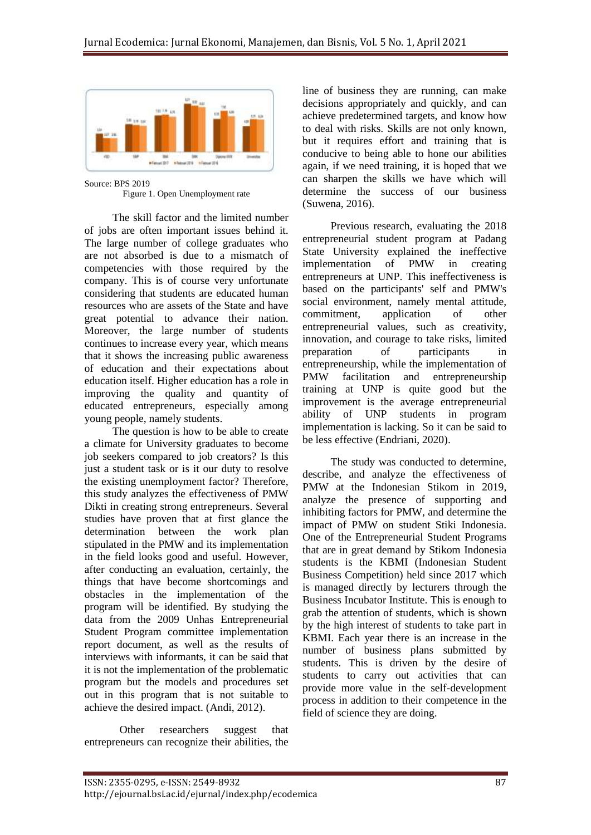

Source: BPS 2019 Figure 1. Open Unemployment rate

The skill factor and the limited number of jobs are often important issues behind it. The large number of college graduates who are not absorbed is due to a mismatch of competencies with those required by the company. This is of course very unfortunate considering that students are educated human resources who are assets of the State and have great potential to advance their nation. Moreover, the large number of students continues to increase every year, which means that it shows the increasing public awareness of education and their expectations about education itself. Higher education has a role in improving the quality and quantity of educated entrepreneurs, especially among young people, namely students.

The question is how to be able to create a climate for University graduates to become job seekers compared to job creators? Is this just a student task or is it our duty to resolve the existing unemployment factor? Therefore, this study analyzes the effectiveness of PMW Dikti in creating strong entrepreneurs. Several studies have proven that at first glance the determination between the work plan stipulated in the PMW and its implementation in the field looks good and useful. However, after conducting an evaluation, certainly, the things that have become shortcomings and obstacles in the implementation of the program will be identified. By studying the data from the 2009 Unhas Entrepreneurial Student Program committee implementation report document, as well as the results of interviews with informants, it can be said that it is not the implementation of the problematic program but the models and procedures set out in this program that is not suitable to achieve the desired impact. (Andi, 2012).

Other researchers suggest that entrepreneurs can recognize their abilities, the line of business they are running, can make decisions appropriately and quickly, and can achieve predetermined targets, and know how to deal with risks. Skills are not only known, but it requires effort and training that is conducive to being able to hone our abilities again, if we need training, it is hoped that we can sharpen the skills we have which will determine the success of our business (Suwena, 2016).

Previous research, evaluating the 2018 entrepreneurial student program at Padang State University explained the ineffective implementation of PMW in creating entrepreneurs at UNP. This ineffectiveness is based on the participants' self and PMW's social environment, namely mental attitude, commitment, application of other entrepreneurial values, such as creativity, innovation, and courage to take risks, limited preparation of participants in entrepreneurship, while the implementation of PMW facilitation and entrepreneurship training at UNP is quite good but the improvement is the average entrepreneurial ability of UNP students in program implementation is lacking. So it can be said to be less effective (Endriani, 2020).

The study was conducted to determine, describe, and analyze the effectiveness of PMW at the Indonesian Stikom in 2019, analyze the presence of supporting and inhibiting factors for PMW, and determine the impact of PMW on student Stiki Indonesia. One of the Entrepreneurial Student Programs that are in great demand by Stikom Indonesia students is the KBMI (Indonesian Student Business Competition) held since 2017 which is managed directly by lecturers through the Business Incubator Institute. This is enough to grab the attention of students, which is shown by the high interest of students to take part in KBMI. Each year there is an increase in the number of business plans submitted by students. This is driven by the desire of students to carry out activities that can provide more value in the self-development process in addition to their competence in the field of science they are doing.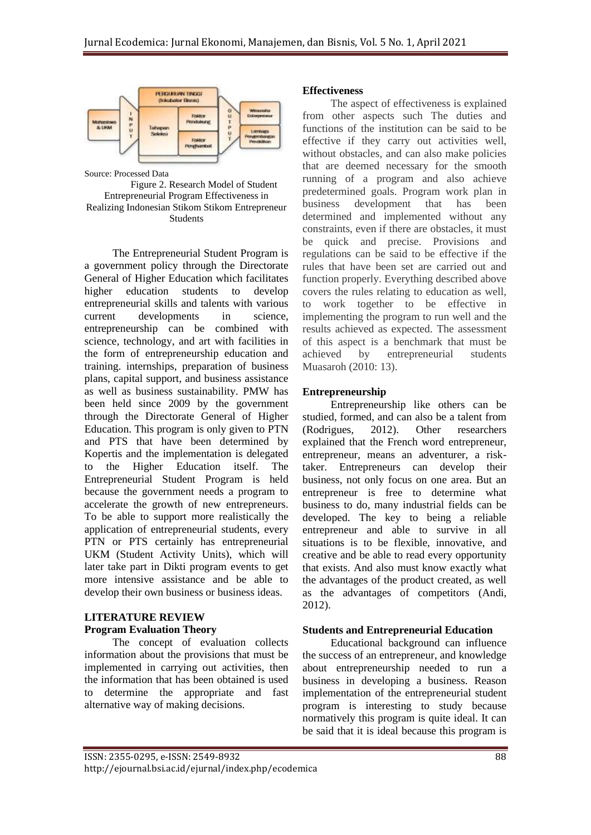

Source: Processed Data Figure 2. Research Model of Student Entrepreneurial Program Effectiveness in Realizing Indonesian Stikom Stikom Entrepreneur **Students** 

The Entrepreneurial Student Program is a government policy through the Directorate General of Higher Education which facilitates higher education students to develop entrepreneurial skills and talents with various current developments in science, entrepreneurship can be combined with science, technology, and art with facilities in the form of entrepreneurship education and training. internships, preparation of business plans, capital support, and business assistance as well as business sustainability. PMW has been held since 2009 by the government through the Directorate General of Higher Education. This program is only given to PTN and PTS that have been determined by Kopertis and the implementation is delegated to the Higher Education itself. The Entrepreneurial Student Program is held because the government needs a program to accelerate the growth of new entrepreneurs. To be able to support more realistically the application of entrepreneurial students, every PTN or PTS certainly has entrepreneurial UKM (Student Activity Units), which will later take part in Dikti program events to get more intensive assistance and be able to develop their own business or business ideas.

# **LITERATURE REVIEW Program Evaluation Theory**

The concept of evaluation collects information about the provisions that must be implemented in carrying out activities, then the information that has been obtained is used to determine the appropriate and fast alternative way of making decisions.

## **Effectiveness**

The aspect of effectiveness is explained from other aspects such The duties and functions of the institution can be said to be effective if they carry out activities well, without obstacles, and can also make policies that are deemed necessary for the smooth running of a program and also achieve predetermined goals. Program work plan in business development that has been determined and implemented without any constraints, even if there are obstacles, it must be quick and precise. Provisions and regulations can be said to be effective if the rules that have been set are carried out and function properly. Everything described above covers the rules relating to education as well, to work together to be effective in implementing the program to run well and the results achieved as expected. The assessment of this aspect is a benchmark that must be achieved by entrepreneurial students Muasaroh (2010: 13).

# **Entrepreneurship**

Entrepreneurship like others can be studied, formed, and can also be a talent from (Rodrigues, 2012). Other researchers explained that the French word entrepreneur, entrepreneur, means an adventurer, a risktaker. Entrepreneurs can develop their business, not only focus on one area. But an entrepreneur is free to determine what business to do, many industrial fields can be developed. The key to being a reliable entrepreneur and able to survive in all situations is to be flexible, innovative, and creative and be able to read every opportunity that exists. And also must know exactly what the advantages of the product created, as well as the advantages of competitors (Andi, 2012).

## **Students and Entrepreneurial Education**

Educational background can influence the success of an entrepreneur, and knowledge about entrepreneurship needed to run a business in developing a business. Reason implementation of the entrepreneurial student program is interesting to study because normatively this program is quite ideal. It can be said that it is ideal because this program is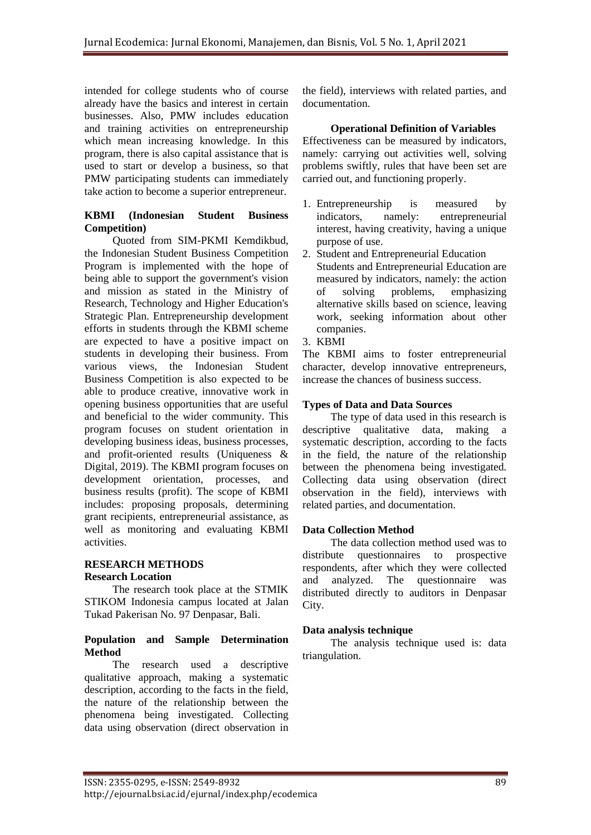intended for college students who of course already have the basics and interest in certain businesses. Also, PMW includes education and training activities on entrepreneurship which mean increasing knowledge. In this program, there is also capital assistance that is used to start or develop a business, so that PMW participating students can immediately take action to become a superior entrepreneur.

## **KBMI (Indonesian Student Business Competition)**

Quoted from SIM-PKMI Kemdikbud, the Indonesian Student Business Competition Program is implemented with the hope of being able to support the government's vision and mission as stated in the Ministry of Research, Technology and Higher Education's Strategic Plan. Entrepreneurship development efforts in students through the KBMI scheme are expected to have a positive impact on students in developing their business. From various views, the Indonesian Student Business Competition is also expected to be able to produce creative, innovative work in opening business opportunities that are useful and beneficial to the wider community. This program focuses on student orientation in developing business ideas, business processes, and profit-oriented results (Uniqueness & Digital, 2019). The KBMI program focuses on development orientation, processes, and business results (profit). The scope of KBMI includes: proposing proposals, determining grant recipients, entrepreneurial assistance, as well as monitoring and evaluating KBMI activities.

## **RESEARCH METHODS Research Location**

The research took place at the STMIK STIKOM Indonesia campus located at Jalan Tukad Pakerisan No. 97 Denpasar, Bali.

#### **Population and Sample Determination Method**

The research used a descriptive qualitative approach, making a systematic description, according to the facts in the field, the nature of the relationship between the phenomena being investigated. Collecting data using observation (direct observation in the field), interviews with related parties, and documentation.

## **Operational Definition of Variables**

Effectiveness can be measured by indicators, namely: carrying out activities well, solving problems swiftly, rules that have been set are carried out, and functioning properly.

- 1. Entrepreneurship is measured by indicators, namely: entrepreneurial interest, having creativity, having a unique purpose of use.
- 2. Student and Entrepreneurial Education Students and Entrepreneurial Education are measured by indicators, namely: the action of solving problems, emphasizing alternative skills based on science, leaving work, seeking information about other companies.
- 3. KBMI

The KBMI aims to foster entrepreneurial character, develop innovative entrepreneurs, increase the chances of business success.

## **Types of Data and Data Sources**

The type of data used in this research is descriptive qualitative data, making a systematic description, according to the facts in the field, the nature of the relationship between the phenomena being investigated. Collecting data using observation (direct observation in the field), interviews with related parties, and documentation.

## **Data Collection Method**

The data collection method used was to distribute questionnaires to prospective respondents, after which they were collected and analyzed. The questionnaire was distributed directly to auditors in Denpasar City.

## **Data analysis technique**

The analysis technique used is: data triangulation.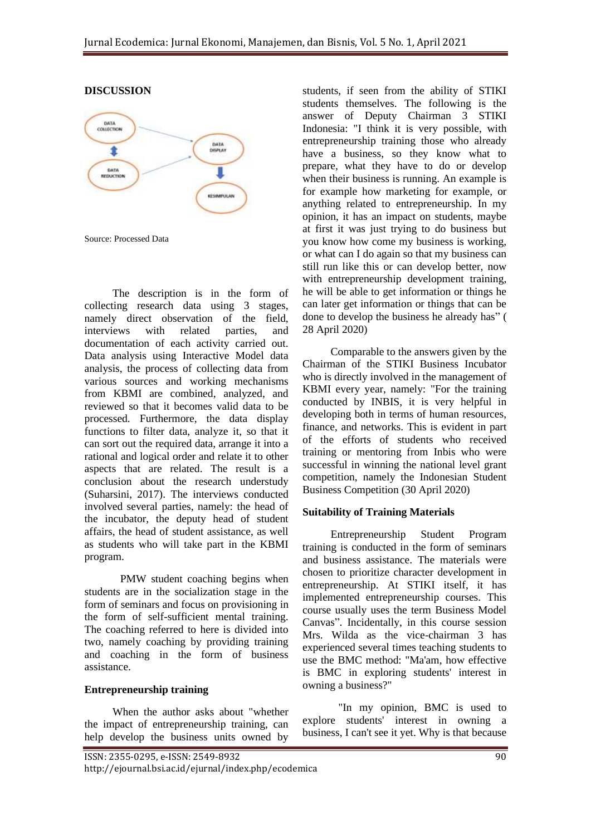#### **DISCUSSION**



Source: Processed Data

The description is in the form of collecting research data using 3 stages, namely direct observation of the field, interviews with related parties, and documentation of each activity carried out. Data analysis using Interactive Model data analysis, the process of collecting data from various sources and working mechanisms from KBMI are combined, analyzed, and reviewed so that it becomes valid data to be processed. Furthermore, the data display functions to filter data, analyze it, so that it can sort out the required data, arrange it into a rational and logical order and relate it to other aspects that are related. The result is a conclusion about the research understudy (Suharsini, 2017). The interviews conducted involved several parties, namely: the head of the incubator, the deputy head of student affairs, the head of student assistance, as well as students who will take part in the KBMI program.

PMW student coaching begins when students are in the socialization stage in the form of seminars and focus on provisioning in the form of self-sufficient mental training. The coaching referred to here is divided into two, namely coaching by providing training and coaching in the form of business assistance.

#### **Entrepreneurship training**

When the author asks about "whether the impact of entrepreneurship training, can help develop the business units owned by

students, if seen from the ability of STIKI students themselves. The following is the answer of Deputy Chairman 3 STIKI Indonesia: "I think it is very possible, with entrepreneurship training those who already have a business, so they know what to prepare, what they have to do or develop when their business is running. An example is for example how marketing for example, or anything related to entrepreneurship. In my opinion, it has an impact on students, maybe at first it was just trying to do business but you know how come my business is working, or what can I do again so that my business can still run like this or can develop better, now with entrepreneurship development training, he will be able to get information or things he can later get information or things that can be done to develop the business he already has" ( 28 April 2020)

Comparable to the answers given by the Chairman of the STIKI Business Incubator who is directly involved in the management of KBMI every year, namely: "For the training conducted by INBIS, it is very helpful in developing both in terms of human resources, finance, and networks. This is evident in part of the efforts of students who received training or mentoring from Inbis who were successful in winning the national level grant competition, namely the Indonesian Student Business Competition (30 April 2020)

#### **Suitability of Training Materials**

Entrepreneurship Student Program training is conducted in the form of seminars and business assistance. The materials were chosen to prioritize character development in entrepreneurship. At STIKI itself, it has implemented entrepreneurship courses. This course usually uses the term Business Model Canvas". Incidentally, in this course session Mrs. Wilda as the vice-chairman 3 has experienced several times teaching students to use the BMC method: "Ma'am, how effective is BMC in exploring students' interest in owning a business?"

"In my opinion, BMC is used to explore students' interest in owning a business, I can't see it yet. Why is that because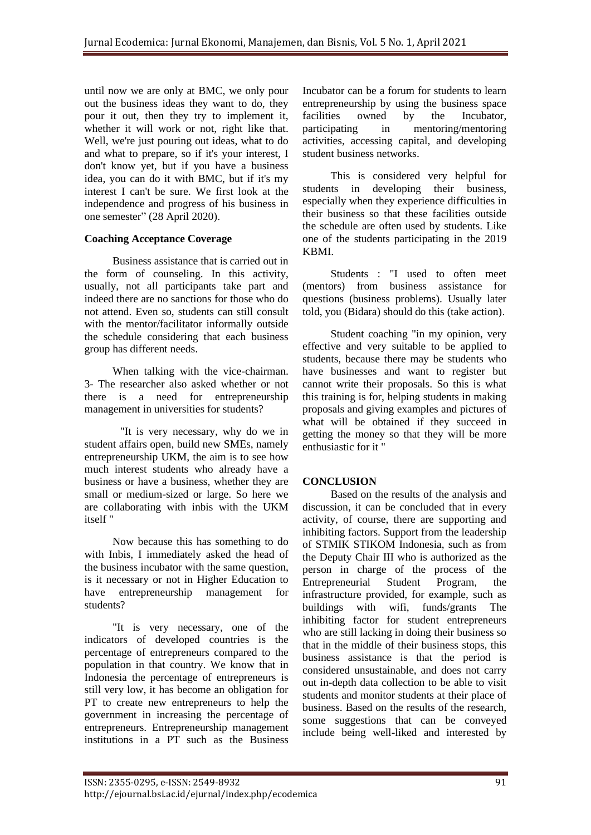until now we are only at BMC, we only pour out the business ideas they want to do, they pour it out, then they try to implement it, whether it will work or not, right like that. Well, we're just pouring out ideas, what to do and what to prepare, so if it's your interest, I don't know yet, but if you have a business idea, you can do it with BMC, but if it's my interest I can't be sure. We first look at the independence and progress of his business in one semester" (28 April 2020).

## **Coaching Acceptance Coverage**

Business assistance that is carried out in the form of counseling. In this activity, usually, not all participants take part and indeed there are no sanctions for those who do not attend. Even so, students can still consult with the mentor/facilitator informally outside the schedule considering that each business group has different needs.

When talking with the vice-chairman. 3- The researcher also asked whether or not there is a need for entrepreneurship management in universities for students?

"It is very necessary, why do we in student affairs open, build new SMEs, namely entrepreneurship UKM, the aim is to see how much interest students who already have a business or have a business, whether they are small or medium-sized or large. So here we are collaborating with inbis with the UKM itself "

Now because this has something to do with Inbis, I immediately asked the head of the business incubator with the same question, is it necessary or not in Higher Education to have entrepreneurship management for students?

"It is very necessary, one of the indicators of developed countries is the percentage of entrepreneurs compared to the population in that country. We know that in Indonesia the percentage of entrepreneurs is still very low, it has become an obligation for PT to create new entrepreneurs to help the government in increasing the percentage of entrepreneurs. Entrepreneurship management institutions in a PT such as the Business

Incubator can be a forum for students to learn entrepreneurship by using the business space facilities owned by the Incubator, participating in mentoring/mentoring activities, accessing capital, and developing student business networks.

This is considered very helpful for students in developing their business, especially when they experience difficulties in their business so that these facilities outside the schedule are often used by students. Like one of the students participating in the 2019 KBMI.

Students : "I used to often meet (mentors) from business assistance for questions (business problems). Usually later told, you (Bidara) should do this (take action).

Student coaching "in my opinion, very effective and very suitable to be applied to students, because there may be students who have businesses and want to register but cannot write their proposals. So this is what this training is for, helping students in making proposals and giving examples and pictures of what will be obtained if they succeed in getting the money so that they will be more enthusiastic for it "

# **CONCLUSION**

Based on the results of the analysis and discussion, it can be concluded that in every activity, of course, there are supporting and inhibiting factors. Support from the leadership of STMIK STIKOM Indonesia, such as from the Deputy Chair III who is authorized as the person in charge of the process of the Entrepreneurial Student Program, the infrastructure provided, for example, such as buildings with wifi, funds/grants The inhibiting factor for student entrepreneurs who are still lacking in doing their business so that in the middle of their business stops, this business assistance is that the period is considered unsustainable, and does not carry out in-depth data collection to be able to visit students and monitor students at their place of business. Based on the results of the research, some suggestions that can be conveyed include being well-liked and interested by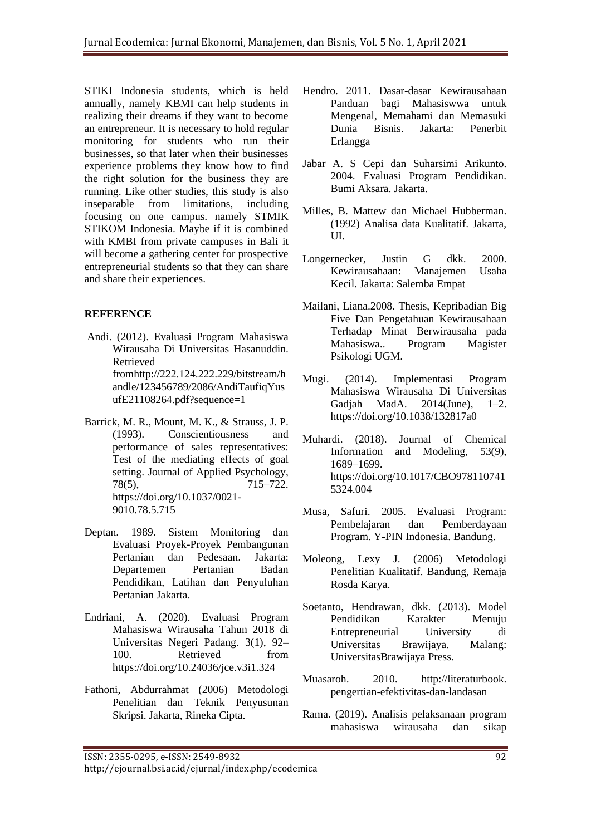STIKI Indonesia students, which is held annually, namely KBMI can help students in realizing their dreams if they want to become an entrepreneur. It is necessary to hold regular monitoring for students who run their businesses, so that later when their businesses experience problems they know how to find the right solution for the business they are running. Like other studies, this study is also inseparable from limitations, including focusing on one campus. namely STMIK STIKOM Indonesia. Maybe if it is combined with KMBI from private campuses in Bali it will become a gathering center for prospective entrepreneurial students so that they can share and share their experiences.

# **REFERENCE**

- Andi. (2012). Evaluasi Program Mahasiswa Wirausaha Di Universitas Hasanuddin. Retrieved fromhttp://222.124.222.229/bitstream/h andle/123456789/2086/AndiTaufiqYus ufE21108264.pdf?sequence=1
- Barrick, M. R., Mount, M. K., & Strauss, J. P. (1993). Conscientiousness and performance of sales representatives: Test of the mediating effects of goal setting. Journal of Applied Psychology, 78(5), 715–722. [https://doi.org/10.1037/0021-](https://doi.org/10.1037/0021-9010.78.5.715) [9010.78.5.715](https://doi.org/10.1037/0021-9010.78.5.715)
- Deptan. 1989. Sistem Monitoring dan Evaluasi Proyek-Proyek Pembangunan Pertanian dan Pedesaan. Jakarta: Departemen Pertanian Badan Pendidikan, Latihan dan Penyuluhan Pertanian Jakarta.
- Endriani, A. (2020). Evaluasi Program Mahasiswa Wirausaha Tahun 2018 di Universitas Negeri Padang. 3(1), 92– 100. Retrieved from https://doi.org/10.24036/jce.v3i1.324
- Fathoni, Abdurrahmat (2006) Metodologi Penelitian dan Teknik Penyusunan Skripsi. Jakarta, Rineka Cipta.
- Hendro. 2011. Dasar-dasar Kewirausahaan Panduan bagi Mahasiswwa untuk Mengenal, Memahami dan Memasuki Dunia Bisnis. Jakarta: Penerbit Erlangga
- Jabar A. S Cepi dan Suharsimi Arikunto. 2004. Evaluasi Program Pendidikan. Bumi Aksara. Jakarta.
- Milles, B. Mattew dan Michael Hubberman. (1992) Analisa data Kualitatif. Jakarta,  $\mathbf{U}$
- Longernecker, Justin G dkk. 2000. Kewirausahaan: Manajemen Usaha Kecil. Jakarta: Salemba Empat
- Mailani, Liana.2008. Thesis, Kepribadian Big Five Dan Pengetahuan Kewirausahaan Terhadap Minat Berwirausaha pada Mahasiswa.. Program Magister Psikologi UGM.
- Mugi. (2014). Implementasi Program Mahasiswa Wirausaha Di Universitas Gadjah MadA. 2014(June), 1–2. https://doi.org/10.1038/132817a0
- Muhardi. (2018). Journal of Chemical Information and Modeling, 53(9), 1689–1699. https://doi.org/10.1017/CBO978110741 5324.004
- Musa, Safuri. 2005. Evaluasi Program: Pembelajaran dan Pemberdayaan Program. Y-PIN Indonesia. Bandung.
- Moleong, Lexy J. (2006) Metodologi Penelitian Kualitatif. Bandung, Remaja Rosda Karya.
- Soetanto, Hendrawan, dkk. (2013). Model Pendidikan Karakter Menuju Entrepreneurial University di Universitas Brawijaya. Malang: UniversitasBrawijaya Press.
- Muasaroh. 2010. http://literaturbook. pengertian-efektivitas-dan-landasan
- Rama. (2019). Analisis pelaksanaan program mahasiswa wirausaha dan sikap